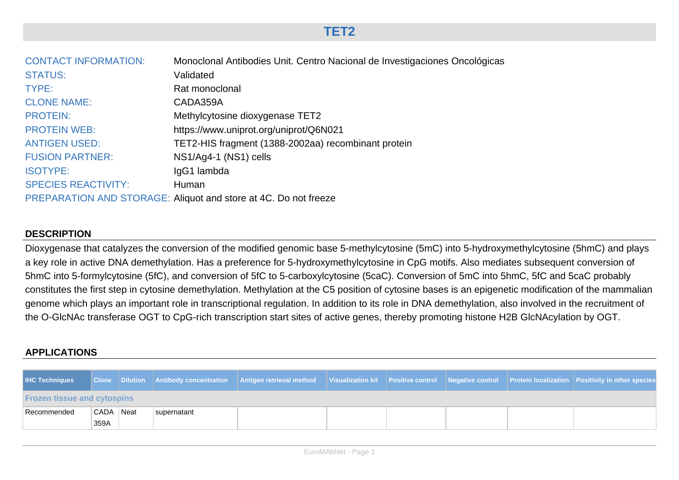## **TET2**

| <b>CONTACT INFORMATION:</b> | Monoclonal Antibodies Unit. Centro Nacional de Investigaciones Oncológicas |
|-----------------------------|----------------------------------------------------------------------------|
| <b>STATUS:</b>              | Validated                                                                  |
| TYPE:                       | Rat monoclonal                                                             |
| <b>CLONE NAME:</b>          | CADA359A                                                                   |
| <b>PROTEIN:</b>             | Methylcytosine dioxygenase TET2                                            |
| <b>PROTEIN WEB:</b>         | https://www.uniprot.org/uniprot/Q6N021                                     |
| <b>ANTIGEN USED:</b>        | TET2-HIS fragment (1388-2002aa) recombinant protein                        |
| <b>FUSION PARTNER:</b>      | NS1/Ag4-1 (NS1) cells                                                      |
| <b>ISOTYPE:</b>             | IgG1 lambda                                                                |
| <b>SPECIES REACTIVITY:</b>  | Human                                                                      |
|                             | PREPARATION AND STORAGE: Aliquot and store at 4C. Do not freeze            |

## **DESCRIPTION**

Dioxygenase that catalyzes the conversion of the modified genomic base 5-methylcytosine (5mC) into 5-hydroxymethylcytosine (5hmC) and plays a key role in active DNA demethylation. Has a preference for 5-hydroxymethylcytosine in CpG motifs. Also mediates subsequent conversion of 5hmC into 5-formylcytosine (5fC), and conversion of 5fC to 5-carboxylcytosine (5caC). Conversion of 5mC into 5hmC, 5fC and 5caC probably constitutes the first step in cytosine demethylation. Methylation at the C5 position of cytosine bases is an epigenetic modification of the mammalian genome which plays an important role in transcriptional regulation. In addition to its role in DNA demethylation, also involved in the recruitment of the O-GlcNAc transferase OGT to CpG-rich transcription start sites of active genes, thereby promoting histone H2B GlcNAcylation by OGT.

## **APPLICATIONS**

| <b>IHC Techniques</b>              |           |  |             | Clone Dilution Antibody concentration Antigen retrieval method Visualization kit Positive control Negative control Protein localization Positivity in other species |  |  |  |  |  |
|------------------------------------|-----------|--|-------------|---------------------------------------------------------------------------------------------------------------------------------------------------------------------|--|--|--|--|--|
| <b>Frozen tissue and cytospins</b> |           |  |             |                                                                                                                                                                     |  |  |  |  |  |
|                                    | CADA Neat |  | supernatant |                                                                                                                                                                     |  |  |  |  |  |
| Recommended                        | 359A      |  |             |                                                                                                                                                                     |  |  |  |  |  |